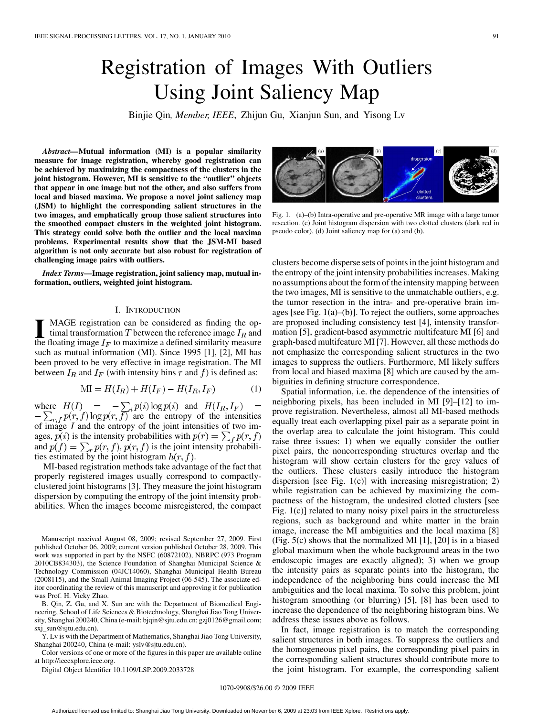# Registration of Images With Outliers Using Joint Saliency Map

Binjie Qin*, Member, IEEE*, Zhijun Gu, Xianjun Sun, and Yisong Lv

*Abstract—***Mutual information (MI) is a popular similarity measure for image registration, whereby good registration can be achieved by maximizing the compactness of the clusters in the joint histogram. However, MI is sensitive to the "outlier" objects that appear in one image but not the other, and also suffers from local and biased maxima. We propose a novel joint saliency map (JSM) to highlight the corresponding salient structures in the two images, and emphatically group those salient structures into the smoothed compact clusters in the weighted joint histogram. This strategy could solve both the outlier and the local maxima problems. Experimental results show that the JSM-MI based algorithm is not only accurate but also robust for registration of challenging image pairs with outliers.**

*Index Terms—***Image registration, joint saliency map, mutual information, outliers, weighted joint histogram.**

## I. INTRODUCTION

**I** MAGE registration can be considered as finding the optimal transformation  $T$  between the reference image  $I_R$  and the floating image  $I_R$  to maximize a defined similarity measure the floating image  $I_F$  to maximize a defined similarity measure such as mutual information (MI). Since 1995 [1], [2], MI has been proved to be very effective in image registration. The MI between  $I_R$  and  $I_F$  (with intensity bins r and f) is defined as:

$$
\text{MI} = H(I_R) + H(I_F) - H(I_R, I_F) \tag{1}
$$

where  $H(I) = -\sum_i p(i) \log p(i)$  and are the entropy of the intensities of image  $I$  and the entropy of the joint intensities of two images,  $p(i)$  is the intensity probabilities with  $p(r) = \sum_f p(r, f)$ and  $p(f) = \sum_{r} p(r, f), p(r, f)$  is the joint intensity probabilities estimated by the joint histogram  $h(r, f)$ .

MI-based registration methods take advantage of the fact that properly registered images usually correspond to compactlyclustered joint histograms [3]. They measure the joint histogram dispersion by computing the entropy of the joint intensity probabilities. When the images become misregistered, the compact

Manuscript received August 08, 2009; revised September 27, 2009. First published October 06, 2009; current version published October 28, 2009. This work was supported in part by the NSFC (60872102), NBRPC (973 Program 2010CB834303), the Science Foundation of Shanghai Municipal Science & Technology Commission (04JC14060), Shanghai Municipal Health Bureau (2008115), and the Small Animal Imaging Project (06-545). The associate editor coordinating the review of this manuscript and approving it for publication was Prof. H. Vicky Zhao.

B. Qin, Z. Gu, and X. Sun are with the Department of Biomedical Engineering, School of Life Sciences & Biotechnology, Shanghai Jiao Tong University, Shanghai 200240, China (e-mail: bjqin@sjtu.edu.cn; gzj0126@gmail.com; sxj\_sun@sjtu.edu.cn).

Y. Lv is with the Department of Mathematics, Shanghai Jiao Tong University, Shanghai 200240, China (e-mail: yslv@sjtu.edu.cn).

Color versions of one or more of the figures in this paper are available online at http://ieeexplore.ieee.org.

Digital Object Identifier 10.1109/LSP.2009.2033728

Fig. 1. (a)–(b) Intra-operative and pre-operative MR image with a large tumor resection. (c) Joint histogram dispersion with two clotted clusters (dark red in pseudo color). (d) Joint saliency map for (a) and (b).

clusters become disperse sets of points in the joint histogram and the entropy of the joint intensity probabilities increases. Making no assumptions about the form of the intensity mapping between the two images, MI is sensitive to the unmatchable outliers, e.g. the tumor resection in the intra- and pre-operative brain images [see Fig. 1(a)–(b)]. To reject the outliers, some approaches are proposed including consistency test [4], intensity transformation [5], gradient-based asymmetric multifeature MI [6] and graph-based multifeature MI [7]. However, all these methods do not emphasize the corresponding salient structures in the two images to suppress the outliers. Furthermore, MI likely suffers from local and biased maxima [8] which are caused by the ambiguities in defining structure correspondence.

Spatial information, i.e. the dependence of the intensities of neighboring pixels, has been included in MI [9]–[12] to improve registration. Nevertheless, almost all MI-based methods equally treat each overlapping pixel pair as a separate point in the overlap area to calculate the joint histogram. This could raise three issues: 1) when we equally consider the outlier pixel pairs, the noncorresponding structures overlap and the histogram will show certain clusters for the grey values of the outliers. These clusters easily introduce the histogram dispersion [see Fig. 1(c)] with increasing misregistration; 2) while registration can be achieved by maximizing the compactness of the histogram, the undesired clotted clusters [see Fig. 1(c)] related to many noisy pixel pairs in the structureless regions, such as background and white matter in the brain image, increase the MI ambiguities and the local maxima [8] (Fig. 5(c) shows that the normalized MI [1], [20] is in a biased global maximum when the whole background areas in the two endoscopic images are exactly aligned); 3) when we group the intensity pairs as separate points into the histogram, the independence of the neighboring bins could increase the MI ambiguities and the local maxima. To solve this problem, joint histogram smoothing (or blurring) [5], [8] has been used to increase the dependence of the neighboring histogram bins. We address these issues above as follows.

In fact, image registration is to match the corresponding salient structures in both images. To suppress the outliers and the homogeneous pixel pairs, the corresponding pixel pairs in the corresponding salient structures should contribute more to the joint histogram. For example, the corresponding salient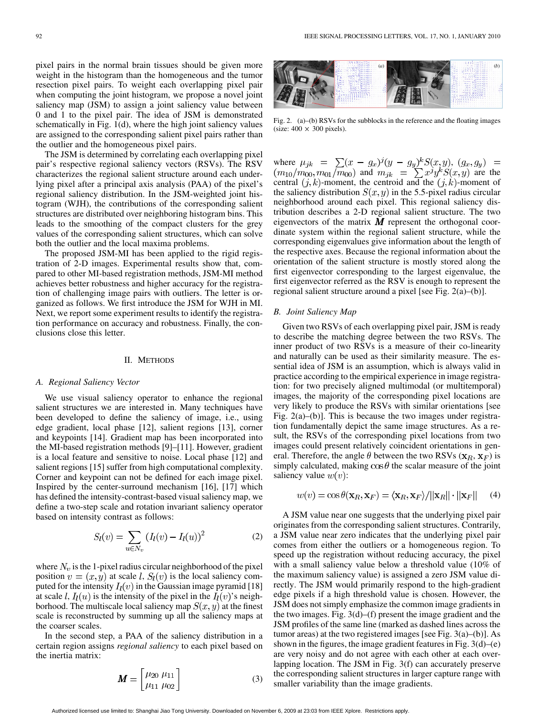pixel pairs in the normal brain tissues should be given more weight in the histogram than the homogeneous and the tumor resection pixel pairs. To weight each overlapping pixel pair when computing the joint histogram, we propose a novel joint saliency map (JSM) to assign a joint saliency value between 0 and 1 to the pixel pair. The idea of JSM is demonstrated schematically in Fig. 1(d), where the high joint saliency values are assigned to the corresponding salient pixel pairs rather than the outlier and the homogeneous pixel pairs.

The JSM is determined by correlating each overlapping pixel pair's respective regional saliency vectors (RSVs). The RSV characterizes the regional salient structure around each underlying pixel after a principal axis analysis (PAA) of the pixel's regional saliency distribution. In the JSM-weighted joint histogram (WJH), the contributions of the corresponding salient structures are distributed over neighboring histogram bins. This leads to the smoothing of the compact clusters for the grey values of the corresponding salient structures, which can solve both the outlier and the local maxima problems.

The proposed JSM-MI has been applied to the rigid registration of 2-D images. Experimental results show that, compared to other MI-based registration methods, JSM-MI method achieves better robustness and higher accuracy for the registration of challenging image pairs with outliers. The letter is organized as follows. We first introduce the JSM for WJH in MI. Next, we report some experiment results to identify the registration performance on accuracy and robustness. Finally, the conclusions close this letter.

## II. METHODS

# *A. Regional Saliency Vector*

We use visual saliency operator to enhance the regional salient structures we are interested in. Many techniques have been developed to define the saliency of image, i.e., using edge gradient, local phase [12], salient regions [13], corner and keypoints [14]. Gradient map has been incorporated into the MI-based registration methods [9]–[11]. However, gradient is a local feature and sensitive to noise. Local phase [12] and salient regions [15] suffer from high computational complexity. Corner and keypoint can not be defined for each image pixel. Inspired by the center-surround mechanism [16], [17] which has defined the intensity-contrast-based visual saliency map, we define a two-step scale and rotation invariant saliency operator based on intensity contrast as follows:

$$
S_l(v) = \sum_{u \in N_v} (I_l(v) - I_l(u))^2
$$
 (2)

where  $N_v$  is the 1-pixel radius circular neighborhood of the pixel position  $v = (x, y)$  at scale l,  $S_l(v)$  is the local saliency computed for the intensity  $I_l(v)$  in the Gaussian image pyramid [18] at scale l,  $I_l(u)$  is the intensity of the pixel in the  $I_l(v)$ 's neighborhood. The multiscale local saliency map  $S(x, y)$  at the finest scale is reconstructed by summing up all the saliency maps at the coarser scales.

In the second step, a PAA of the saliency distribution in a certain region assigns *regional saliency* to each pixel based on the inertia matrix:

$$
\boldsymbol{M} = \begin{bmatrix} \mu_{20} & \mu_{11} \\ \mu_{11} & \mu_{02} \end{bmatrix} \tag{3}
$$



Fig. 2. (a)–(b) RSVs for the subblocks in the reference and the floating images (size:  $400 \times 300$  pixels).

where  $\mu_{jk} = \sum (x - g_x)^j (y - g_y)^k S(x, y)$ , and  $m_{jk} = \sum x^j y^k S(x, y)$  are the central  $(j,k)$ -moment, the centroid and the  $(j,k)$ -moment of the saliency distribution  $S(x, y)$  in the 5.5-pixel radius circular neighborhood around each pixel. This regional saliency distribution describes a 2-D regional salient structure. The two eigenvectors of the matrix  $\boldsymbol{M}$  represent the orthogonal coordinate system within the regional salient structure, while the corresponding eigenvalues give information about the length of the respective axes. Because the regional information about the orientation of the salient structure is mostly stored along the first eigenvector corresponding to the largest eigenvalue, the first eigenvector referred as the RSV is enough to represent the regional salient structure around a pixel [see Fig. 2(a)–(b)].

# *B. Joint Saliency Map*

Given two RSVs of each overlapping pixel pair, JSM is ready to describe the matching degree between the two RSVs. The inner product of two RSVs is a measure of their co-linearity and naturally can be used as their similarity measure. The essential idea of JSM is an assumption, which is always valid in practice according to the empirical experience in image registration: for two precisely aligned multimodal (or multitemporal) images, the majority of the corresponding pixel locations are very likely to produce the RSVs with similar orientations [see Fig.  $2(a)$ –(b)]. This is because the two images under registration fundamentally depict the same image structures. As a result, the RSVs of the corresponding pixel locations from two images could present relatively coincident orientations in general. Therefore, the angle  $\theta$  between the two RSVs ( ${\bf x}_R, {\bf x}_F$ ) is simply calculated, making  $\cos \theta$  the scalar measure of the joint saliency value  $w(v)$ :

$$
w(v) = \cos \theta(\mathbf{x}_R, \mathbf{x}_F) = \langle \mathbf{x}_R, \mathbf{x}_F \rangle / ||\mathbf{x}_R|| \cdot ||\mathbf{x}_F|| \quad (4)
$$

A JSM value near one suggests that the underlying pixel pair originates from the corresponding salient structures. Contrarily, a JSM value near zero indicates that the underlying pixel pair comes from either the outliers or a homogeneous region. To speed up the registration without reducing accuracy, the pixel with a small saliency value below a threshold value (10% of the maximum saliency value) is assigned a zero JSM value directly. The JSM would primarily respond to the high-gradient edge pixels if a high threshold value is chosen. However, the JSM does not simply emphasize the common image gradients in the two images. Fig. 3(d)–(f) present the image gradient and the JSM profiles of the same line (marked as dashed lines across the tumor areas) at the two registered images [see Fig.  $3(a)$ –(b)]. As shown in the figures, the image gradient features in Fig.  $3(d)$ –(e) are very noisy and do not agree with each other at each overlapping location. The JSM in Fig. 3(f) can accurately preserve the corresponding salient structures in larger capture range with smaller variability than the image gradients.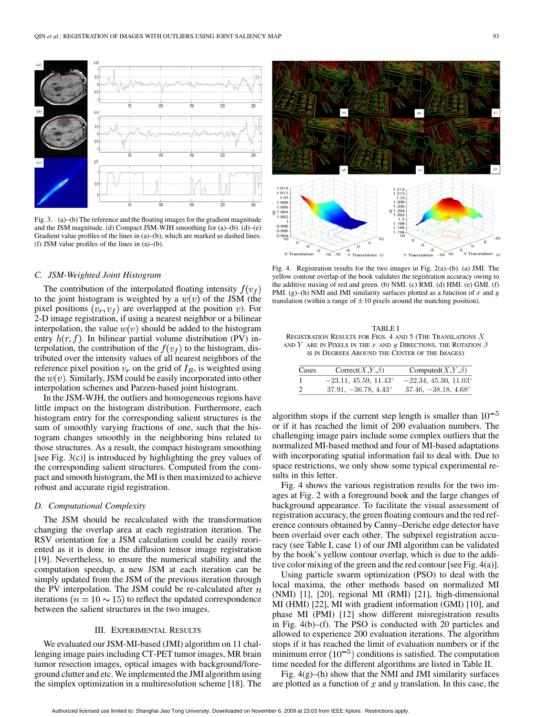

Fig. 3. (a)–(b) The reference and the floating images for the gradient magnitude and the JSM magnitude. (d) Compact JSM-WJH smoothing for (a)–(b). (d)–(e) Gradient value profiles of the lines in (a)–(b), which are marked as dashed lines. (f) JSM value profiles of the lines in (a)–(b).

### *C. JSM-Weighted Joint Histogram*

The contribution of the interpolated floating intensity  $f(v_f)$ to the joint histogram is weighted by a  $w(v)$  of the JSM (the pixel positions  $(v_r, v_f)$  are overlapped at the position v). For 2-D image registration, if using a nearest neighbor or a bilinear interpolation, the value  $w(v)$  should be added to the histogram entry  $h(r, f)$ . In bilinear partial volume distribution (PV) interpolation, the contribution of the  $f(v_f)$  to the histogram, distributed over the intensity values of all nearest neighbors of the reference pixel position  $v_r$  on the grid of  $I_R$ , is weighted using the  $w(v)$ . Similarly, JSM could be easily incorporated into other interpolation schemes and Parzen-based joint histogram.

In the JSM-WJH, the outliers and homogeneous regions have little impact on the histogram distribution. Furthermore, each histogram entry for the corresponding salient structures is the sum of smoothly varying fractions of one, such that the histogram changes smoothly in the neighboring bins related to those structures. As a result, the compact histogram smoothing [see Fig. 3(c)] is introduced by highlighting the grey values of the corresponding salient structures. Computed from the compact and smooth histogram, the MI is then maximized to achieve robust and accurate rigid registration.

# *D. Computational Complexity*

The JSM should be recalculated with the transformation changing the overlap area at each registration iteration. The RSV orientation for a JSM calculation could be easily reoriented as it is done in the diffusion tensor image registration [19]. Nevertheless, to ensure the numerical stability and the computation speedup, a new JSM at each iteration can be simply updated from the JSM of the previous iteration through the PV interpolation. The JSM could be re-calculated after  $n$ iterations ( $n = 10 \sim 15$ ) to reflect the updated correspondence between the salient structures in the two images.

# III. EXPERIMENTAL RESULTS

We evaluated our JSM-MI-based (JMI) algorithm on 11 challenging image pairs including CT-PET tumor images, MR brain tumor resection images, optical images with background/foreground clutter and etc. We implemented the JMI algorithm using the simplex optimization in a multiresolution scheme [18]. The



Fig. 4. Registration results for the two images in Fig. 2(a)–(b). (a) JMI. The yellow contour overlap of the book validates the registration accuracy owing to the additive mixing of red and green. (b) NMI. (c) RMI. (d) HMI. (e) GMI. (f) PMI. (g)–(h) NMI and JMI similarity surfaces plotted as a function of  $x$  and  $y$ translation (within a range of  $\pm 10$  pixels around the matching position).

| TABLE I                                                                   |  |
|---------------------------------------------------------------------------|--|
| REGISTRATION RESULTS FOR FIGS, 4 AND 5 (THE TRANSLATIONS X)               |  |
| and $Y$ are in Pixels in the $x$ and $y$ Directions, the Rotation $\beta$ |  |
| IS IN DEGREES AROUND THE CENTER OF THE IMAGES)                            |  |

| Cases | $Correct(X,Y,\beta)$           | Computed $(X,Y,\beta)$         |
|-------|--------------------------------|--------------------------------|
|       | $-23.11, 45.59, 11.43^{\circ}$ | $-22.34, 45.30, 11.03^{\circ}$ |
| -2    | $37.91, -36.78, 4.43^{\circ}$  | $37.46, -38.18, 4.68^{\circ}$  |

algorithm stops if the current step length is smaller than  $10^{-5}$ or if it has reached the limit of 200 evaluation numbers. The challenging image pairs include some complex outliers that the normalized MI-based method and four of MI-based adaptations with incorporating spatial information fail to deal with. Due to space restrictions, we only show some typical experimental results in this letter.

Fig. 4 shows the various registration results for the two images at Fig. 2 with a foreground book and the large changes of background appearance. To facilitate the visual assessment of registration accuracy, the green floating contours and the red reference contours obtained by Canny–Deriche edge detector have been overlaid over each other. The subpixel registration accuracy (see Table I, case 1) of our JMI algorithm can be validated by the book's yellow contour overlap, which is due to the additive color mixing of the green and the red contour [see Fig. 4(a)].

Using particle swarm optimization (PSO) to deal with the local maxima, the other methods based on normalized MI (NMI) [1], [20], regional MI (RMI) [21], high-dimensional MI (HMI) [22], MI with gradient information (GMI) [10], and phase MI (PMI) [12] show different misregistration results in Fig. 4(b)–(f). The PSO is conducted with 20 particles and allowed to experience 200 evaluation iterations. The algorithm stops if it has reached the limit of evaluation numbers or if the minimum error  $(10^{-5})$  conditions is satisfied. The computation time needed for the different algorithms are listed in Table II.

Fig.  $4(g)$ –(h) show that the NMI and JMI similarity surfaces are plotted as a function of  $x$  and  $y$  translation. In this case, the